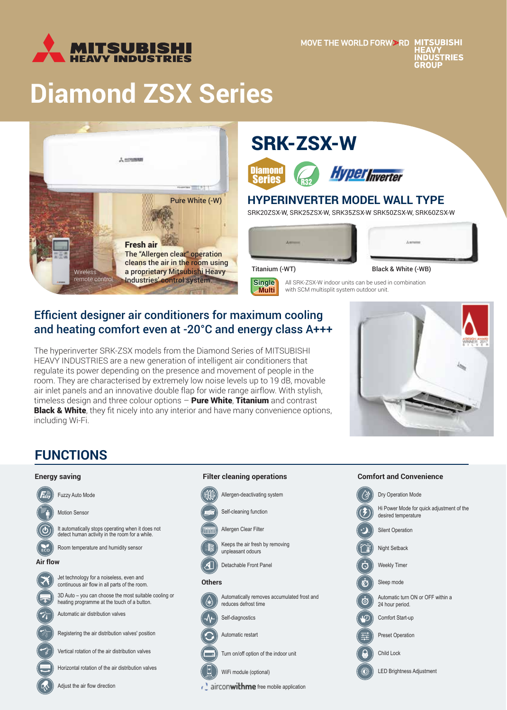

# **Diamond ZSX Series**



## SRK-ZSX-W





### **HYPERINVERTER MODEL WALL TYPE**

SRK20ZSX-W, SRK25ZSX-W, SRK35ZSX-W SRK50ZSX-W, SRK60ZSX-W

All SRK-ZSX-W indoor units can be used in combination

with SCM multisplit system outdoor unit.





**Single Multi**

Titanium (-WT) Black & White (-WB)

## Efficient designer air conditioners for maximum cooling

and heating comfort even at -20°C and energy class A+++

The hyperinverter SRK-ZSX models from the Diamond Series of MITSUBISHI HEAVY INDUSTRIES are a new generation of intelligent air conditioners that regulate its power depending on the presence and movement of people in the room. They are characterised by extremely low noise levels up to 19 dB, movable air inlet panels and an innovative double flap for wide range airflow. With stylish, timeless design and three colour options - Pure White, Titanium and contrast **Black & White**, they fit nicely into any interior and have many convenience options, including Wi-Fi.



## **FUNCTIONS**

#### **Energy saving**



Adjust the air flow direction

## Allergen-deactivating system Self-cleaning function

**Filter cleaning operations**

Allergen Clear Filter

Keeps the air fresh by removing unpleasant odours

 $\mathcal{A}% _{0}=\mathcal{A}_{0}=\mathcal{A}_{0}=\mathcal{A}_{0}=\mathcal{A}_{0}=\mathcal{A}_{0}=\mathcal{A}_{0}=\mathcal{A}_{0}=\mathcal{A}_{0}=\mathcal{A}_{0}=\mathcal{A}_{0}=\mathcal{A}_{0}=\mathcal{A}_{0}=\mathcal{A}_{0}=\mathcal{A}_{0}=\mathcal{A}_{0}=\mathcal{A}_{0}=\mathcal{A}_{0}=\mathcal{A}_{0}=\mathcal{A}_{0}=\mathcal{A}_{0}=\mathcal{A}_{0}=\mathcal{A}_{0}=\mathcal{A}_{0}=\mathcal{A}_{0}=\mathcal{A}_{0}=\mathcal{A}_{0}=\math$ Detachable Front Panel

#### **Others**

Automatically removes accumulated frost and reduces defrost time

Self-diagnostics Automatic restart

Turn on/off option of the indoor unit

 $\epsilon$  airconwithme free mobile application

## **Comfort and Convenience**